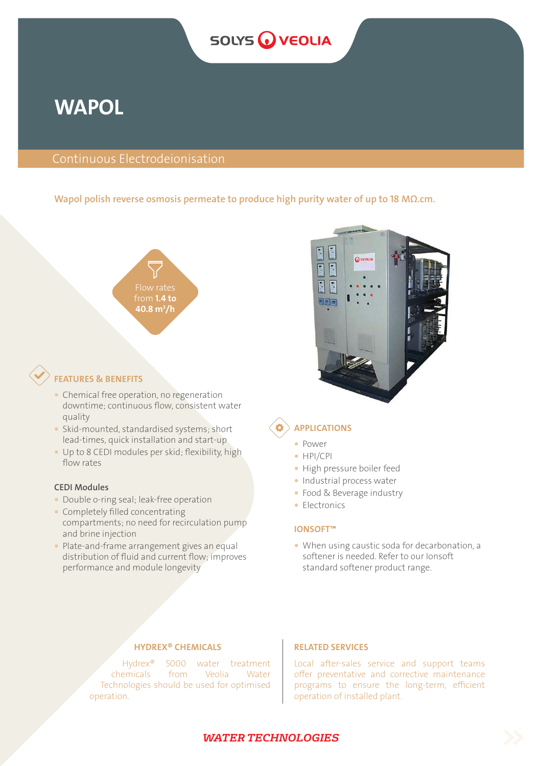# **SOLYS WEOLIA**

# **WAPOL**

## Continuous Electrodeionisation

#### Wapol polish reverse osmosis permeate to produce high purity water of up to 18 MΩ.cm.



## FEATURES & BENEFITS

- Chemical free operation, no regeneration downtime; continuous flow, consistent water quality
- � Skid-mounted, standardised systems; short lead-times, quick installation and start-up
- � Up to 8 CEDI modules per skid; flexibility, high flow rates

#### CEDI Modules

- Double o-ring seal; leak-free operation
- � Completely filled concentrating compartments; no need for recirculation pump and brine injection
- Plate-and-frame arrangement gives an equal distribution of fluid and current flow; improves performance and module longevity



## APPLICATIONS

- � Power
- � HPI/CPI
- � High pressure boiler feed
- � Industrial process water
- � Food & Beverage industry
- Electronics

#### IONSOFT™

� When using caustic soda for decarbonation, a softener is needed. Refer to our Ionsoft standard softener product range.

## HYDREX® CHEMICALS

Hydrex® 5000 water treatment chemicals from Veolia Water Technologies should be used for optimised operation.

### RELATED SERVICES

Local after-sales service and support teams offer preventative and corrective maintenance programs to ensure the long-term, efficient operation of installed plant.